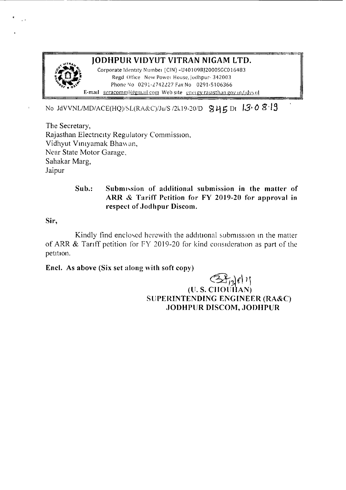

· .

# JODHPUR VIDYUT VITRAN NIGAM LTO.

Corporate Identity Number (CIN) -U40109RJ2000SGC016483 Regd Office New Powei House, Jodhpur- 342003 Phone No 0291-2742227 Fax No 0291-5106366 E-mail seracomml@gmail.com Web site energy rajasthan goy in/jdvvnl

# No JdVVNL/MD/ACE(HQ)/SL(RA&C)/Ju/S /2k19-20/D  $845$  Dt  $13.0$   $8.19$

The Secretary, Rajasthan Electncity Regulatory Commission. Vidhyut Vimyarnak Bhaw an, Near State Motor Garage, Sahakar Marg, Jaipur

### Sub.: Submission of additional submission in the matter of ARR & Tariff Petition for FY 2019-20 for approval in respect of Jodhpur Discom.

Sir,

Kindly find enclosed herewith the additional submission in the matter of ARR  $&$  Tariff petition for FY 2019-20 for kind consideration as part of the petition.

## Encl. As above (Six set along with soft copy)

## $(38/36)$ (ll. S. CIIOliIlAN) SUPERINTENDING ENGINEER (RA&C) .JODHPUR DISCOM, JODHPUR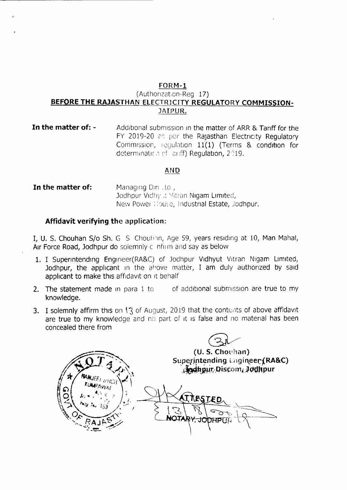#### FORM-l (Authonzat.on-Reo 17) **»EFQRE THE RAJASTHAN** ELECTR1CITY **REGULATORY COMMISSION-**JAIPUR.

**In the matter of: -** Additional submission in the matter of ARR & Tariff for the FY 2019-20 as per the Rajasthan Electricity Regulatory Commission, requlation 11(1) (Terms & condition for determination of courf) Regulation, 2019.

#### AND

**In the matter of:** Managing Directo, Jodhpur Vidhy ,t Yitran Nigam Limited, New Power: Nouse, Industrial Estate, Jodhpur.

### **Affidavit verifying** the application:

I, U. S. Chouhan S/o Sh. G S Chouhnn, Age 59, years residing at 10, Man Mahal, Air Force Road, Jodhpur do solemnly cinfirm and say as below

- 1. I Superintending Engineer(RA&C) of Jodhpur Vidhyut Vitran Nigam Limited, Jodhpur, the applicant in the above matter, I am duly authorized by said applicant to make this affidavit on it behalf
- 2. The statement made in para  $1$  to  $\qquad$  of additional submission are true to my knowledge.
- 3. I solemnly affirm this on  $\{3\}$  of August, 2019 that the contents of above affidavit are true to my knowledge and no part of it is false and no material has been concealed there from

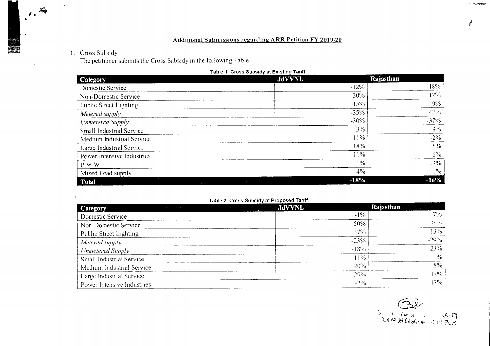### **Additional Submissions regarding ARR Petition FY 2019-20**

#### 1. Cross Subsidy

 $\frac{1}{4}$ 

्क ∎  $\mathbf{r}$ 

The petitioner submits the Cross Subsidy in the following Table

| <b>Category</b>            | <b>JdVVNL</b> | Rajasthan |
|----------------------------|---------------|-----------|
| Domestic Service           | $-12%$        | $-18%$    |
| Non-Domestic Service       | 30%           | 12%       |
| Public Street Lighting     | 15%           | $0\%$     |
| Metered supply             | $-35%$        | $-42%$    |
| <b>Unmetered Supply</b>    | $-30%$        | $-37\%$   |
| Small Industrial Service   | 3%            | $-9\%$    |
| Medium Industrial Service  | 11%           | $-2\%$    |
| Large Industrial Service   | 18%           | $5\%$     |
| Power Intensive Industries | 11%           | $-6\%$    |
| P W W                      | $-1\%$        | $-13%$    |
| Mixed Load supply          | $4\%$         | $-1\%$    |
| Total                      | $-18%$        | $-16%$    |

#### $2.1 - 1.1 = 1.2$  $\sim$  $\sim$

#### Table 2 Cross Subsidy at Proposed Tariff

| Category                   | <b>JdVVNL</b> | Rajasthan |
|----------------------------|---------------|-----------|
| Domestic Service           | $-1\%$        | $-7\%$    |
| Non-Domestic Service       | 50%           | 250/      |
| Public Street Lighting     | 37%           | 13%       |
| Metered supply             | $-23%$        | $-29%$    |
| <b>Unmetered Supply</b>    | $-18%$        | $-23%$    |
| Small Industrial Service   | $1\%$         | (10/6)    |
| Medium Industrial Service  | 20%           | 8%        |
| Large Industrial Service   | 79%           | $7\%$     |
| Power Intensive Industries | $-2\%$        | $-17\%$   |

**TOO SQUEENS**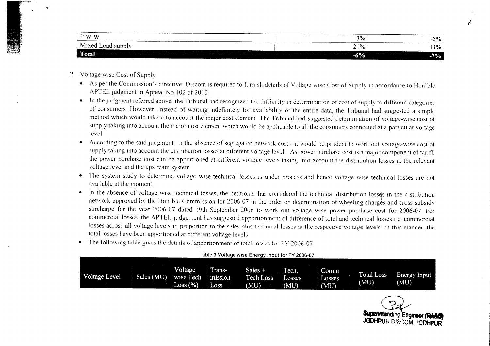| P W W                      | ____<br>3% | 5%<br>- 1   |
|----------------------------|------------|-------------|
| $M1$ ved<br>Load<br>supply | 21%        | $ 4\% $     |
| $-6\%$<br>тош              |            | -707<br>76. |

- 2 Voltage wise Cost of Supply
	- As per the Commission's directive, Discom is required to furnish details of Voltage wise Cost of Supply in accordance to Hon'ble APTEL judgment in Appeal No 102 of 2010
	- In the judgment referred above, the Tribunal had recognized the difficulty in determination of cost of supply to different categories of consumers However, instead of waiting indefinitely for availability of the entire data, the Tribunal had suggested a simple method which would take into account the major cost element Ihe Tribunal had suggested determination of voltage-wise cost of supply taking into account the major cost element which would be applicable to all the consumers connected at a particular voltage level
	- According to the said judgment in the absence of segi egated network costs it would be prudent to work out voltage-wise cost of supply taking into account the distribution losses at different voltage levels. As power purchase cost is a major component of tariff, the power purchase cost can be apportioned at different voltage levels taking into account the distribution losses at the relevant voltage level and the upstream system
	- The system study to determine voltage wise technical losses is under process and hence voltage wise technical losses are not available at the moment
	- In the absence of voltage wise technical losses, the petitioner has considered the technical distribution losses in the distribution network approved by the Hon ble Commission for 2006-07 in the order on determination of wheeling charges and cross subsidy surcharge for the year 2006-07 dated 19th September 2006 to work out voltage wise power purchase cost for 2006-07 For commercial losses, the APTEL judgement has suggested apportionment of difference of total and technical losses i e commercial losses across all voltage levels in proportion to the sales plus technical losses at the respective voltage levels In this manner, the total losses have been apportioned at different voltage levels
	- The following table gives the details of apportionment of total losses for FY 2006-07

| Table 3 Voltage wise Energy Input for FY 2006-07 |
|--------------------------------------------------|
|--------------------------------------------------|

|               |            | <b>Voltage</b>    | l rans- | Sales $+$ | Tech.  | Comm   |                           |                      |
|---------------|------------|-------------------|---------|-----------|--------|--------|---------------------------|----------------------|
| Voltage Level | Sales (MU) | wise Tech mission |         | Tech Loss | Losses | Losses | <b>Total Loss</b><br>(MU) | Energy Input<br>(MU) |
|               |            | Loss (%)          | Loss    | (MU)      | (MU)   | (MU)   |                           |                      |

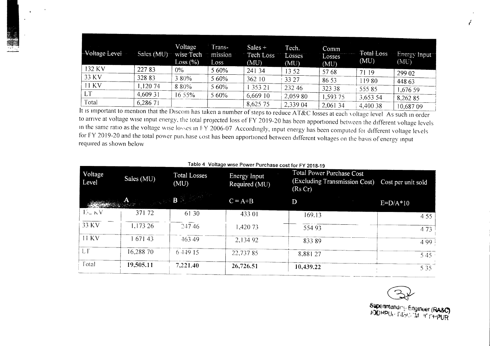| Voltage Level | Sales (MU) | Voltage<br>wise Tech<br>Loss (%) | Trans-<br>mission<br>Loss | Sales $+$<br>Tech Loss<br>(MU) | Tech.<br>Losses<br>(MU) | Comm<br>Losses<br>(MU) | <b>Total Loss</b><br>(MU) | <b>Energy Input</b><br>(MU) |
|---------------|------------|----------------------------------|---------------------------|--------------------------------|-------------------------|------------------------|---------------------------|-----------------------------|
| 132 KV        | 22783      | $0\%$                            | 5 60%                     | 241 34                         | 13 52                   | 57 68                  | 71 19                     | 299 02                      |
| 33 KV         | 32883      | 380%                             | 5 60%                     | 362 10                         | 33 27                   | 86 53                  | 11980                     | 448 63                      |
| 11 KV         | 1,120 74   | 8 80%                            | 5 60%                     | 353 21                         | 232 46                  | 323 38                 | 55585                     | 1,676.59                    |
| <b>LT</b>     | 4,609 31   | 16 55%                           | 5 60%                     | 6,669 10                       | 2,059 80                | 1,593 75               | 3,653 54                  | 8,262 85                    |
| Total         | 6,286 71   |                                  |                           | 8,625 75                       | 2,339 04                | 2,061 34               | 4,400 38                  | 10.687.09                   |

It is important to mention that the Discom has taken a number of steps to reduce AT&C losses at each voltage level As such in order to arnve at voltage wise mput energy, the total projected loss of FY 2019-20 has been apportioned between the different voltage levels in the same ratio as the voltage wise losses in FY 2006-07 Accordingly, input energy has been computed for different voltage levels for FY 2019-20 and the total power purchase cost has been apportioned between different voltages on the basis of energy input required as shown below

| Voltage<br>Level | Sales (MU)    | <b>Total Losses</b><br>(MU)      | Energy Input<br>Required (MU) | Total Power Purchase Cost<br>(Excluding Transmission Cost)<br>(Rs Cr) | Cost per unit sold |
|------------------|---------------|----------------------------------|-------------------------------|-----------------------------------------------------------------------|--------------------|
|                  | <b>WARDER</b> | <b>Commercial Street, Square</b> | $C = A + B$                   | D                                                                     | $E=D/A*10$         |
| $15 - N$         | 37172         | 61 30                            | 433 01                        | 169.13                                                                | 4 5 5              |
| 33 KV            | 1,173 26      | 24746                            | 1,420 73                      | 554 93                                                                | 473                |
| <b>11 KV</b>     | 1 671 43      | 463.49                           | 2,134 92                      | 83389                                                                 | 499                |
| <b>LT</b>        | 16,288 70     | 6 4 4 9 15                       | 22,73785                      | 8,881 27                                                              | 545                |
| Total            | 19,505.11     | 7,221.40                         | 26,726.51                     | 10,439.22                                                             | 5 3 5              |

| Table 4 Voltage wise Power Purchase cost for FY 2018-19 |  |  |  |  |
|---------------------------------------------------------|--|--|--|--|
|---------------------------------------------------------|--|--|--|--|

Superintending Engineer (RASC)<br>JODHPU<sub>LL</sub>EILSCHWEIT PHPUR

. .<br>أكتاب التعلي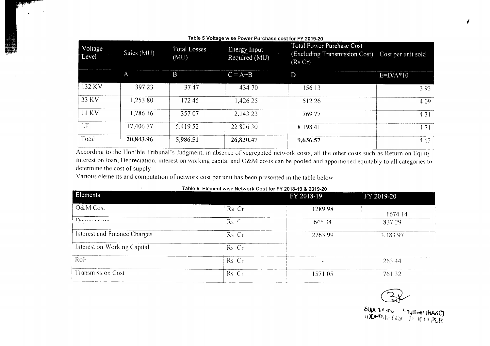|                  | Table 5 Voltage wise Power Purchase cost for FY 2019-20 |                                          |                               |                                                                              |                    |  |  |  |
|------------------|---------------------------------------------------------|------------------------------------------|-------------------------------|------------------------------------------------------------------------------|--------------------|--|--|--|
| Voltage<br>Level | Sales $(MU)$                                            | <b>Total Losses</b><br>$(\overline{MU})$ | Energy Input<br>Required (MU) | <b>Total Power Purchase Cost</b><br>(Excluding Transmission Cost)<br>(Rs Cr) | Cost per unit sold |  |  |  |
|                  | A                                                       | B                                        | $C = A + B$                   | D                                                                            | $E=D/A*10$         |  |  |  |
| 132 KV           | 397 23                                                  | 3747                                     | 434 70                        | 156 13                                                                       | 3 9 3              |  |  |  |
| 33 KV            | 1,253 80                                                | 17245                                    | 1,426 25                      | 512 26                                                                       | 4 0 9              |  |  |  |
| 11 KV            | 1,786 16                                                | 357.07                                   | 2.143 23                      | 769 77                                                                       | 4 3 1              |  |  |  |
| LT               | 17,406 77                                               | 5.419.52                                 | 22 826 30                     | 8 198 41                                                                     | 471                |  |  |  |
| Total            | 20,843.96                                               | 5,986.51                                 | 26,830.47                     | 9,636.57                                                                     | 4.62               |  |  |  |

According to the Hon'ble Tribunal's Judgment, in absence of segregated network costs, all the other costs such as Return on Equity Interest on loan, Depreciation, interest on working capital and O&M costs can be pooled and apportioned equitably to all categories to determine the cost of supply

Various elements and computation of network cost per unit has been presented in the table below

| Table 6 Element wise Network Cost for FY 2018-19 & 2019-20 |                        |            |            |  |  |  |
|------------------------------------------------------------|------------------------|------------|------------|--|--|--|
| Elements                                                   |                        | FY 2018-19 | FY 2019-20 |  |  |  |
| O&M Cost                                                   | Rs Cr                  | 1289 98    | 1674 14    |  |  |  |
| Dontociation                                               | $\text{Rs}$ $\epsilon$ | 64534      | 837.29     |  |  |  |
| Interest and Finance Charges                               | Rs Cr                  | 2763.99    | 3,183 97   |  |  |  |
| Interest on Working Capital                                | Rs Cr                  |            |            |  |  |  |
| RoF                                                        | Rs Cr                  |            | 263.44     |  |  |  |
| <b>Transmission Cost</b>                                   | Rs Cr                  | 57105      | 76132      |  |  |  |

| able 6 Element wise Network Cost for FY 2018-19 & 2019-20 |  |  |  |
|-----------------------------------------------------------|--|--|--|
|                                                           |  |  |  |

Superintend Chylineer (KA&C)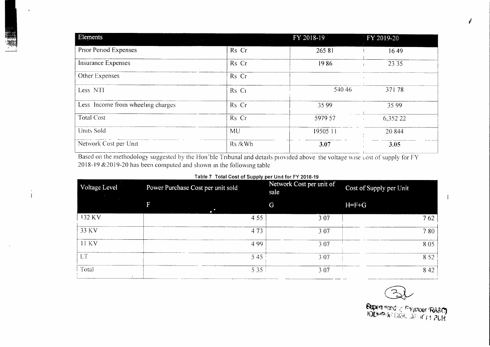| Elements<br>and the company of the property of the |           | FY 2018-19 | FY 2019-20 |
|----------------------------------------------------|-----------|------------|------------|
| Prior Period Expenses                              | Rs Cr     | 26581      | 1649       |
| Insurance Expenses                                 | Rs Cr     | 1986       | 23 35      |
| Other Expenses                                     | Rs Cr     |            |            |
| Less NTI                                           | Rs Cr     | 540 46     | 37178      |
| Less Income from wheeling charges                  | Rs Cr     | 35 99      | 35 99      |
| <b>Total Cost</b>                                  | Rs Cr     | 5979 57    | 6,352 22   |
| Units Sold                                         | <b>MU</b> | 19505 11   | 20 844     |
| Network Cost per Unit                              | Rs /kWh   | 3.07       | 3.05       |

Based on the methodology suggested by the Hon'ble Tribunal and details provided above the voltage wise cost of supply for FY 2018-19 & 2019-20 has been computed and shown in the following table

 $\alpha$  $\overline{1}$ 

#### Table 7 Total Cost of Supply per Unit for FY 2018-19

| Voltage Level | Power Purchase Cost per unit sold |       | Network Cost per unit of<br>sale | Cost of Supply per Unit |       |
|---------------|-----------------------------------|-------|----------------------------------|-------------------------|-------|
|               |                                   |       | G                                | $H = F + G$             |       |
| 132 KV        |                                   | 4 5 5 | 307                              |                         | 762   |
| 33 KV         |                                   | 473   | 3 0 7                            |                         | 780   |
| <b>11 KV</b>  |                                   | 4.99  | 3 0 7                            |                         | 805   |
| <b>LT</b>     |                                   | 545   | 307                              |                         | 8 5 2 |
| Total         |                                   | 5 3 5 | 3 0 7                            |                         | 842   |

 $\sum_{i=1}^{n}$ 

**Supert Hendry Frigmeer (RA&C)**<br>FODHPLIR DISC 203 TC (11 PUR

 $\mathbf{I}$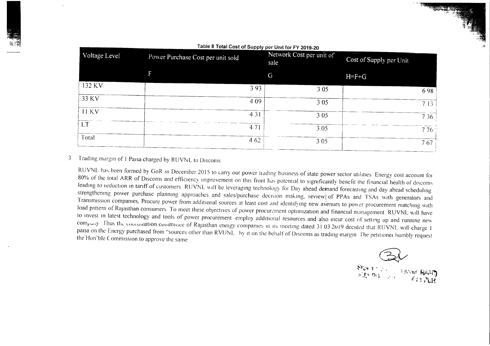| Voltage Level | Power Purchase Cost per unit sold |       | Network Cost per unit of<br>sale | Cost of Supply per Unit |       |
|---------------|-----------------------------------|-------|----------------------------------|-------------------------|-------|
|               |                                   | G     |                                  | $H = F + G$             |       |
| 132 KV        |                                   | 3 9 3 | 3 0 5                            |                         | 698   |
| 33 KV         |                                   | 4 0 9 | 3 0 5                            |                         | 713   |
| 11 KV         |                                   | 4 3 1 | 3 0 5                            |                         | 7 3 6 |
| <b>LT</b>     |                                   | 471   | 3 0 5                            |                         | 776   |
| Total         |                                   | 4 62  | 3 0 5                            |                         | 767   |

Table 8 Total Cost of Supply per Unit for FY 2019-20

#### Trading margin of 1 Paisa charged by RUVNL to Discoms  $\mathfrak{Z}$

RUVNL has been formed by GoR in December 2015 to carry out power trading business of state power sector utilities Energy cost account for 80% of the total ARR of Discoms and efficiency improvement on this front has potential to significantly benefit the financial health of discoms leading to reduction in tariff of customers RUVNL will be leveraging technology for Day ahead demand forecasting and day ahead scheduling strengthening power purchase planning approaches and sales/purchase decision making, review of PPAs and TSAs with generators and Transmission companies, Procure power from additional sources at least cost and identifying new avenues to power procurement matching with load pattern of Rajasthan consumers. To meet these objectives of power procurement optimization and financial management. RUVNL will have to invest in latest technology and tools of power procurement employ additional resources and also incur cost of setting up and running new company. Thus the coorumation committee of Rajasthan energy companies in its meeting dated 31 03 2019 decided that RUVNL will charge 1 paisa on the Energy purchased from "sources other than RVUNL by it on the behalf of Discoms as trading margin. The petitioner humbly request the Hon'ble Commission to approve the same

Start the Start Moer RA20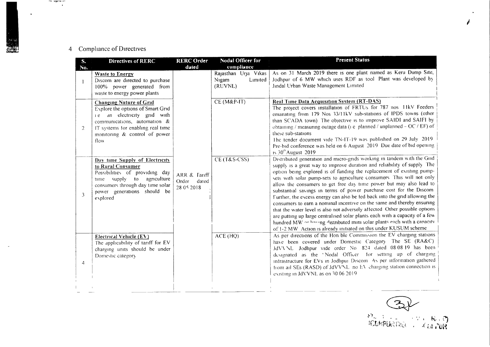# 4 Compliance of Directives

مت معسطوط مت<br>ا

| S.<br>No.      | Directives of RERC                                                                                                                                                                                                 | <b>RERC Order</b><br>dated                   | Nodal Officer for<br>compliance                     | <b>Present Status</b>                                                                                                                                                                                                                                                                                                                                                                                                                                                                                                                                                                                                                                                                                                                                                                                                                                                                                                   |
|----------------|--------------------------------------------------------------------------------------------------------------------------------------------------------------------------------------------------------------------|----------------------------------------------|-----------------------------------------------------|-------------------------------------------------------------------------------------------------------------------------------------------------------------------------------------------------------------------------------------------------------------------------------------------------------------------------------------------------------------------------------------------------------------------------------------------------------------------------------------------------------------------------------------------------------------------------------------------------------------------------------------------------------------------------------------------------------------------------------------------------------------------------------------------------------------------------------------------------------------------------------------------------------------------------|
|                | <b>Waste to Energy</b><br>Discom are directed to purchase<br>100% power generated from<br>waste to energy power plants                                                                                             |                                              | Rajasthan Urja Vikas<br>Nigam<br>Limited<br>(RUVNL) | As on 31 March 2019 there is one plant named as Keru Dump Site,<br>Jodhpur of 6 MW which uses RDF as tool Plant was developed by<br>Jindal Urban Waste Management Limited                                                                                                                                                                                                                                                                                                                                                                                                                                                                                                                                                                                                                                                                                                                                               |
| $\overline{2}$ | <b>Changing Nature of Grid</b><br>Explore the options of Smart Grid<br>i.e. an electricity grid with<br>communications, automation &<br>IT systems for enabling real time<br>monitoring & control of power<br>flow |                                              | $CE$ (M&P-IT)                                       | Real Time Data Acquisition System (RT-DAS)<br>The project covers installation of FRTUs for 787 nos 11kV Feeders<br>emanating from 179 Nos 33/11kV sub-stations of IPDS towns (other<br>than SCADA town) The objective is to improve SAIDI and SAIFI by<br>obtaining / measuring outage data (i.e. planned / unplanned - OC / EF) of<br>these sub-stations<br>The tender document vide TN-IT-19 was published on 29 July 2019<br>Pre-bid conference was held on 6 August 2019 Due date of bid opening<br>15 $30th$ August 2019                                                                                                                                                                                                                                                                                                                                                                                           |
| 3              | Day time Supply of Electricity<br>to Rural Consumer<br>Possibilities of providing day<br>supply to agriculture<br>time<br>consumers through day time solar<br>power generations should be<br>explored              | ARR & Tariff<br>dated<br>Order<br>28 05 2018 | CE (T&S-CSS)                                        | Distributed generation and micro-grids working in tandem with the Grid<br>supply is a great way to improve duration and reliability of supply. The<br>option being explored is of funding the replacement of existing pump-<br>sets with solar pump-sets to agriculture consumers. This will not only<br>allow the consumers to get free day time power but may also lead to<br>substantial savings in terms of power purchase cost for the Discom<br>Further, the excess energy can also be fed back into the grid allowing the<br>consumers to earn a nominal incentive on the same and thereby ensuring<br>that the water level is also not adversely affected. Other possible options<br>are putting up large centralised solar plants each with a capacity of a few<br>hundred MW or having distributed mini solar plants each with a capacity<br>of 1-2 MW Action is already initiated on this under KUSUM scheme |
| $\overline{A}$ | Electrical Vehicle (EV)<br>The applicability of tariff for EV<br>charging units should be under<br>Domestic category                                                                                               |                                              | ACE (HQ)                                            | As per directions of the Hon ble Commission the EV charging stations<br>have been covered under Domestic Category The SE (RA&C)<br>JdVVNL Jodhpur vide order No 824 dated 08 08 19 has been<br>designated as the 'Nodal Officer for setting up of charging<br>infrastructure for EVs in Jodhpur Discom. As per information gathered<br>from ail SEs (RASD) of JdVVNL no EV charging station connection is<br>existing in JdVVNL as on 30 06 2019                                                                                                                                                                                                                                                                                                                                                                                                                                                                        |

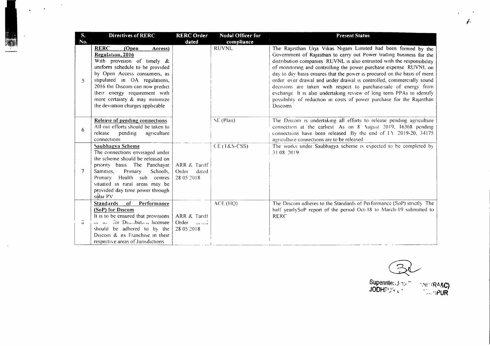| S.<br>No.           | <b>Directives of RERC</b>                                                                                                                                                                                                                                                                                                         | <b>RERC Order</b><br>dated                       | Nodal Officer for<br>compliance | <b>Present Status</b>                                                                                                                                                                                                                                                                                                                                                                                                                                                                                                                                                                                                                                                    |
|---------------------|-----------------------------------------------------------------------------------------------------------------------------------------------------------------------------------------------------------------------------------------------------------------------------------------------------------------------------------|--------------------------------------------------|---------------------------------|--------------------------------------------------------------------------------------------------------------------------------------------------------------------------------------------------------------------------------------------------------------------------------------------------------------------------------------------------------------------------------------------------------------------------------------------------------------------------------------------------------------------------------------------------------------------------------------------------------------------------------------------------------------------------|
| 5                   | <b>RERC</b><br>(Open<br>Access)<br>Regulation, 2016<br>With provision of timely $\&$<br>uniform schedule to be provided<br>by Open Access consumers, as<br>stipulated in OA regulations,<br>2016 the Discom can now predict<br>their energy requirement with<br>more certainty & may minimize<br>the deviation charges applicable |                                                  | <b>RUVNL</b>                    | The Rajasthan Urja Vikas Nigam Limited had been formed by the<br>Government of Rajasthan to carry out Power trading business for the<br>distribution companies RUVNL is also entrusted with the responsibility<br>of monitoring and controlling the power purchase expense RUVNL on<br>day to day basis ensures that the power is procured on the basis of merit<br>order over drawal and under drawal is controlled, commercially sound<br>decisions are taken with respect to purchase/sale of energy from<br>exchange It is also undertaking review of long term PPAs to identify<br>possibility of reduction in costs of power purchase for the Rajasthan<br>Discoms |
| 6                   | Release of pending connections<br>All out efforts should be taken to<br>agriculture<br>release<br>pending<br>connections                                                                                                                                                                                                          |                                                  | SE (Plan)                       | The Discom is undertaking all efforts to release pending agriculture<br>connection at the earliest As on 8 August 2019, 16368 pending<br>connections have been released By the end of 11 2019-20, 34175<br>agriculture connections are to be released                                                                                                                                                                                                                                                                                                                                                                                                                    |
| 7                   | Saubhagya Scheme<br>The connections envisaged under<br>the scheme should be released on<br>priority basis The Panchayat<br>Samities,<br>Primary<br>Schools,<br>Health sub centres<br>Primary<br>situated in rural areas may be<br>provided day time power through<br>sólar PV                                                     | ARR & Tariff<br>Order<br>dated<br>28 05 2018     | CE(I&S-CSS)                     | The works under Saubhagya scheme is expected to be completed by<br>31 08 2019                                                                                                                                                                                                                                                                                                                                                                                                                                                                                                                                                                                            |
| $\ddot{\mathbf{O}}$ | <b>Standards</b><br>of<br>Performance<br>(SoP) for Discom<br>It is to be ensured that provisions<br>or so for Discribution licensee<br>should be adhered to by the<br>Discom & its Franchise in their<br>respective areas of Jurisdictions                                                                                        | ARR & Tariff<br>Order<br>أناء الما<br>28 05 2018 | ACE (HQ)                        | The Discom adheres to the Standards of Performance (SoP) strictly The<br>half yearlySoP report of the period Oct-18 to March-19 submitted to<br><b>RERC</b>                                                                                                                                                                                                                                                                                                                                                                                                                                                                                                              |

 $\alpha$ 

2<br>ت Supennte:, <del>j. 1</del>5 F *\~e-*(R~&C) JODHpIJ':.c <sup>L</sup> •  $\sim$   $\sim$   $PUR$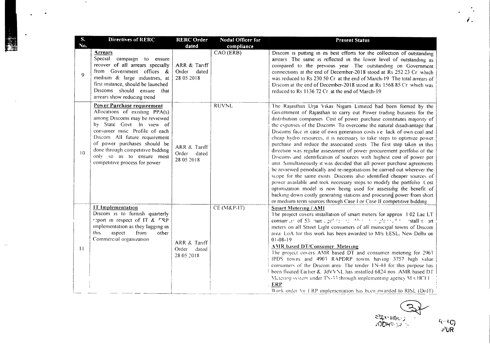| S.<br>No. | <b>Directives of RERC</b>                                                                                                                                                                                                                                                                                                     | <b>RERC Order</b><br>dated                   | Nodal Officer for<br>compliance | <b>Present Status</b>                                                                                                                                                                                                                                                                                                                                                                                                                                                                                                                                                                                                                                                                                                                                                                                                                                                                                                                                                                                                                                                                                                                                                                                  |
|-----------|-------------------------------------------------------------------------------------------------------------------------------------------------------------------------------------------------------------------------------------------------------------------------------------------------------------------------------|----------------------------------------------|---------------------------------|--------------------------------------------------------------------------------------------------------------------------------------------------------------------------------------------------------------------------------------------------------------------------------------------------------------------------------------------------------------------------------------------------------------------------------------------------------------------------------------------------------------------------------------------------------------------------------------------------------------------------------------------------------------------------------------------------------------------------------------------------------------------------------------------------------------------------------------------------------------------------------------------------------------------------------------------------------------------------------------------------------------------------------------------------------------------------------------------------------------------------------------------------------------------------------------------------------|
| 9         | Arrears<br>Special campaign to ensure<br>recover of all arrears specially<br>from Government offices &<br>medium & large industries, at<br>first instance, should be launched<br>Discoms should ensure that<br>arrears show reducing trend                                                                                    | ARR & Tariff<br>Order<br>dated<br>28 05 2018 | CAO (ERB)                       | Discom is putting in its best efforts for the collection of outstanding<br>arrears The same is reflected in the lower level of outstanding as<br>compared to the previous year. The outstanding on Government<br>connections at the end of December-2018 stood at Rs 252 23 Cr which<br>was reduced to Rs 230 50 Cr at the end of March-19 The total arrears of<br>Discom at the end of December-2018 stood at Rs 1568 85 Cr which was<br>reduced to Rs 1136 72 Cr at the end of March-19                                                                                                                                                                                                                                                                                                                                                                                                                                                                                                                                                                                                                                                                                                              |
| 10        | Power Purchase requirement<br>Allocations of existing PPA(s)<br>among Discoms may be reviewed<br>by State Govt In view of<br>consumer misc Profile of each<br>Discom All future requirement<br>of power purchases should be<br>done through competitive bidding<br>only so as to ensure most<br>competitive process for power | ARR & Tariff<br>Order<br>dated<br>28 05 2018 | <b>RUVNL</b>                    | The Rajasthan Urja Vikas Nigam Limited had been formed by the<br>Government of Rajasthan to carry out Power trading business for the<br>distribution companies. Cost of power purchase constitutes majority of<br>the expenses of the Discoms. To overcome the natural disadvantage that<br>Discoms face in case of own generation costs i.e. lack of own coal and<br>cheap hydro resources, it is necessary to take steps to optimize power<br>purchase and reduce the associated costs. The first step taken in this<br>direction was regular assessment of power procurement portfolio of the<br>Discoms and identification of sources with highest cost of power per<br>unit Simultaneously it was decided that all power purchase agreements<br>be reviewed periodically and re-negotiations be carried out wherever the<br>scope for the same exists. Discoms also identified cheaper sources of<br>power available and took necessary steps to modify the portfolio Cost<br>optimization model is now being used for assessing the benefit of<br>backing down costly generating stations and procuring power from short<br>or medium term sources through Case I or Case II competitive bidding |
| 11        | <b>IT Implementation</b><br>Discom is to furnish quarterly<br>report in respect of IT & FRP<br>implementation as they lagging in<br>this<br>aspect<br>from<br>other<br>Commercial organization                                                                                                                                | ARR & Tariff<br>Order<br>dated<br>28 05 2018 | $CE$ (M&P-IT)                   | <b>Smart Metering / AMI</b><br>The project covers installation of smart meters for approx 102 Lac LT<br>consumult of 53 nunulpe <sup>1</sup> to the Alexander please <sup>4</sup> for stall solart<br>meters on all Street Light consumers of all municipal towns of Discom<br>area. LoA for this work has been awarded to M/s EESL. New Delhi on<br>$01-08-19$<br><b>AMR</b> based DT/Consumer Metering<br>The project covers AMR based DT and consumer metering for 2963<br>IPDS towns and 4903 RAPDRP towns having 3757 high value<br>consumers of the Discom area. The tender 1N-44 for this purpose has<br>been floated Earlier & JdVVNL has installed 6824 nos. AMR based DT.<br>Metering system under TN-33 through implementing agency M s HCl 1<br><b>ERP</b><br>Work order for ERP implementation has been awarded to RISL (DoIT).                                                                                                                                                                                                                                                                                                                                                           |

 $\sim 20$ 

 $\sim$   $\sim$ 

 $\langle \rangle$ 

 $\mathbf{z}$  $\frac{\text{Supp}\,\text{intex}}{\text{Supp}\,\text{supp}\,\text{supp}\,\text{supp}\,\text{supp}\,\text{supp}\,\text{supp}\,\text{supp}\,\text{supp}\,\text{supp}\,\text{supp}\,\text{supp}\,\text{supp}\,\text{supp}\,\text{supp}\,\text{supp}\,\text{supp}\,\text{supp}\,\text{supp}\,\text{supp}\,\text{supp}\,\text{supp}\,\text{supp}\,\text{supp}\,\text{supp}\,\text{supp}\,\text{supp}\,\text{supp}\,\text{supp}\,\text{supp}\,\text{supp}\,\text{supp}\,\text{supp}\,\text{supp}\,\text$ 

r\" *R.C)* ,fUR

 $\hat{r}$  ,